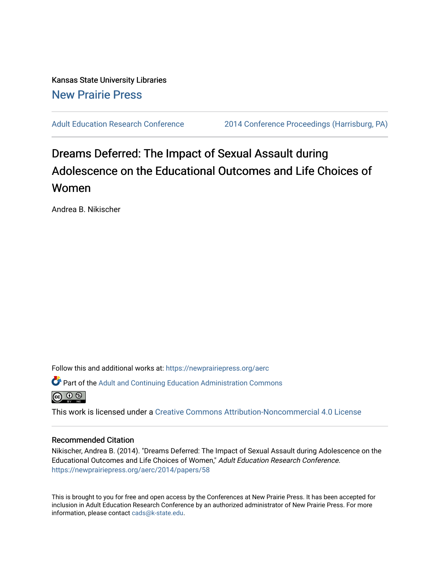Kansas State University Libraries [New Prairie Press](https://newprairiepress.org/) 

[Adult Education Research Conference](https://newprairiepress.org/aerc) [2014 Conference Proceedings \(Harrisburg, PA\)](https://newprairiepress.org/aerc/2014) 

# Dreams Deferred: The Impact of Sexual Assault during Adolescence on the Educational Outcomes and Life Choices of Women

Andrea B. Nikischer

Follow this and additional works at: [https://newprairiepress.org/aerc](https://newprairiepress.org/aerc?utm_source=newprairiepress.org%2Faerc%2F2014%2Fpapers%2F58&utm_medium=PDF&utm_campaign=PDFCoverPages)

Part of the [Adult and Continuing Education Administration Commons](http://network.bepress.com/hgg/discipline/789?utm_source=newprairiepress.org%2Faerc%2F2014%2Fpapers%2F58&utm_medium=PDF&utm_campaign=PDFCoverPages)



This work is licensed under a [Creative Commons Attribution-Noncommercial 4.0 License](https://creativecommons.org/licenses/by-nc/4.0/)

## Recommended Citation

Nikischer, Andrea B. (2014). "Dreams Deferred: The Impact of Sexual Assault during Adolescence on the Educational Outcomes and Life Choices of Women," Adult Education Research Conference. <https://newprairiepress.org/aerc/2014/papers/58>

This is brought to you for free and open access by the Conferences at New Prairie Press. It has been accepted for inclusion in Adult Education Research Conference by an authorized administrator of New Prairie Press. For more information, please contact [cads@k-state.edu](mailto:cads@k-state.edu).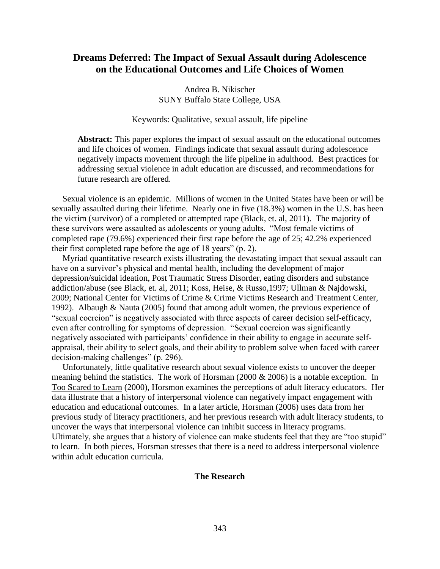# **Dreams Deferred: The Impact of Sexual Assault during Adolescence on the Educational Outcomes and Life Choices of Women**

Andrea B. Nikischer SUNY Buffalo State College, USA

Keywords: Qualitative, sexual assault, life pipeline

**Abstract:** This paper explores the impact of sexual assault on the educational outcomes and life choices of women. Findings indicate that sexual assault during adolescence negatively impacts movement through the life pipeline in adulthood. Best practices for addressing sexual violence in adult education are discussed, and recommendations for future research are offered.

 Sexual violence is an epidemic. Millions of women in the United States have been or will be sexually assaulted during their lifetime. Nearly one in five (18.3%) women in the U.S. has been the victim (survivor) of a completed or attempted rape (Black, et. al, 2011). The majority of these survivors were assaulted as adolescents or young adults. "Most female victims of completed rape (79.6%) experienced their first rape before the age of 25; 42.2% experienced their first completed rape before the age of 18 years" (p. 2).

 Myriad quantitative research exists illustrating the devastating impact that sexual assault can have on a survivor's physical and mental health, including the development of major depression/suicidal ideation, Post Traumatic Stress Disorder, eating disorders and substance addiction/abuse (see Black, et. al, 2011; Koss, Heise, & Russo,1997; Ullman & Najdowski, 2009; National Center for Victims of Crime & Crime Victims Research and Treatment Center, 1992). Albaugh & Nauta (2005) found that among adult women, the previous experience of "sexual coercion" is negatively associated with three aspects of career decision self-efficacy, even after controlling for symptoms of depression. "Sexual coercion was significantly negatively associated with participants' confidence in their ability to engage in accurate selfappraisal, their ability to select goals, and their ability to problem solve when faced with career decision-making challenges" (p. 296).

 Unfortunately, little qualitative research about sexual violence exists to uncover the deeper meaning behind the statistics. The work of Horsman (2000 & 2006) is a notable exception. In Too Scared to Learn (2000), Horsmon examines the perceptions of adult literacy educators. Her data illustrate that a history of interpersonal violence can negatively impact engagement with education and educational outcomes. In a later article, Horsman (2006) uses data from her previous study of literacy practitioners, and her previous research with adult literacy students, to uncover the ways that interpersonal violence can inhibit success in literacy programs. Ultimately, she argues that a history of violence can make students feel that they are "too stupid" to learn. In both pieces, Horsman stresses that there is a need to address interpersonal violence within adult education curricula.

# **The Research**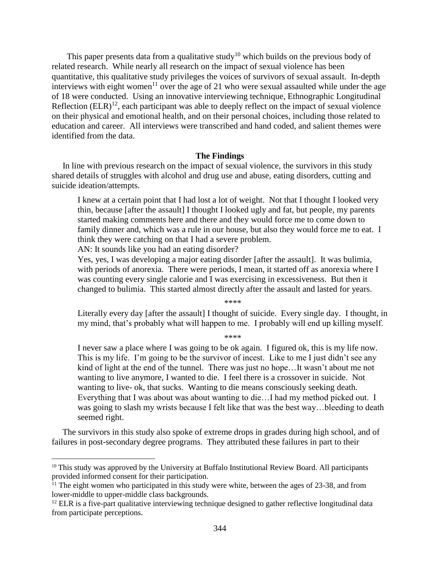This paper presents data from a qualitative study<sup>10</sup> which builds on the previous body of related research. While nearly all research on the impact of sexual violence has been quantitative, this qualitative study privileges the voices of survivors of sexual assault. In-depth interviews with eight women<sup>11</sup> over the age of 21 who were sexual assaulted while under the age of 18 were conducted. Using an innovative interviewing technique, Ethnographic Longitudinal Reflection  $(ELR)^{12}$ , each participant was able to deeply reflect on the impact of sexual violence on their physical and emotional health, and on their personal choices, including those related to education and career. All interviews were transcribed and hand coded, and salient themes were identified from the data.

#### **The Findings**

 In line with previous research on the impact of sexual violence, the survivors in this study shared details of struggles with alcohol and drug use and abuse, eating disorders, cutting and suicide ideation/attempts.

I knew at a certain point that I had lost a lot of weight. Not that I thought I looked very thin, because [after the assault] I thought I looked ugly and fat, but people, my parents started making comments here and there and they would force me to come down to family dinner and, which was a rule in our house, but also they would force me to eat. I think they were catching on that I had a severe problem.

AN: It sounds like you had an eating disorder?

 $\overline{a}$ 

Yes, yes, I was developing a major eating disorder [after the assault]. It was bulimia, with periods of anorexia. There were periods, I mean, it started off as anorexia where I was counting every single calorie and I was exercising in excessiveness. But then it changed to bulimia. This started almost directly after the assault and lasted for years.

\*\*\*\*

Literally every day [after the assault] I thought of suicide. Every single day. I thought, in my mind, that's probably what will happen to me. I probably will end up killing myself.

\*\*\*\*

I never saw a place where I was going to be ok again. I figured ok, this is my life now. This is my life. I'm going to be the survivor of incest. Like to me I just didn't see any kind of light at the end of the tunnel. There was just no hope…It wasn't about me not wanting to live anymore, I wanted to die. I feel there is a crossover in suicide. Not wanting to live- ok, that sucks. Wanting to die means consciously seeking death. Everything that I was about was about wanting to die…I had my method picked out. I was going to slash my wrists because I felt like that was the best way…bleeding to death seemed right.

 The survivors in this study also spoke of extreme drops in grades during high school, and of failures in post-secondary degree programs. They attributed these failures in part to their

 $10$  This study was approved by the University at Buffalo Institutional Review Board. All participants provided informed consent for their participation.

 $11$  The eight women who participated in this study were white, between the ages of 23-38, and from lower-middle to upper-middle class backgrounds.

<sup>&</sup>lt;sup>12</sup> ELR is a five-part qualitative interviewing technique designed to gather reflective longitudinal data from participate perceptions.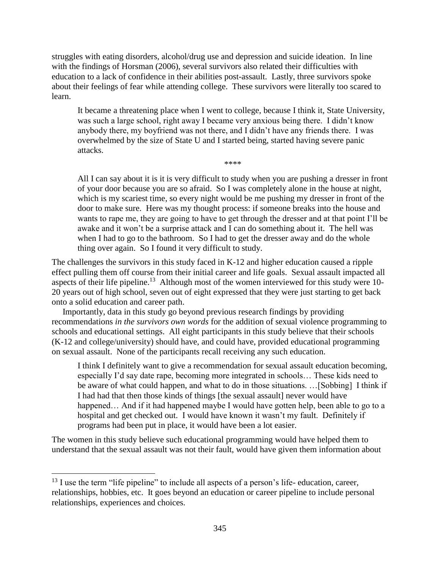struggles with eating disorders, alcohol/drug use and depression and suicide ideation. In line with the findings of Horsman (2006), several survivors also related their difficulties with education to a lack of confidence in their abilities post-assault. Lastly, three survivors spoke about their feelings of fear while attending college. These survivors were literally too scared to learn.

It became a threatening place when I went to college, because I think it, State University, was such a large school, right away I became very anxious being there. I didn't know anybody there, my boyfriend was not there, and I didn't have any friends there. I was overwhelmed by the size of State U and I started being, started having severe panic attacks.

\*\*\*\*

All I can say about it is it is very difficult to study when you are pushing a dresser in front of your door because you are so afraid. So I was completely alone in the house at night, which is my scariest time, so every night would be me pushing my dresser in front of the door to make sure. Here was my thought process: if someone breaks into the house and wants to rape me, they are going to have to get through the dresser and at that point I'll be awake and it won't be a surprise attack and I can do something about it. The hell was when I had to go to the bathroom. So I had to get the dresser away and do the whole thing over again. So I found it very difficult to study.

The challenges the survivors in this study faced in K-12 and higher education caused a ripple effect pulling them off course from their initial career and life goals. Sexual assault impacted all aspects of their life pipeline.<sup>13</sup> Although most of the women interviewed for this study were 10-20 years out of high school, seven out of eight expressed that they were just starting to get back onto a solid education and career path.

 Importantly, data in this study go beyond previous research findings by providing recommendations *in the survivors own words* for the addition of sexual violence programming to schools and educational settings. All eight participants in this study believe that their schools (K-12 and college/university) should have, and could have, provided educational programming on sexual assault. None of the participants recall receiving any such education.

I think I definitely want to give a recommendation for sexual assault education becoming, especially I'd say date rape, becoming more integrated in schools… These kids need to be aware of what could happen, and what to do in those situations. …[Sobbing] I think if I had had that then those kinds of things [the sexual assault] never would have happened... And if it had happened maybe I would have gotten help, been able to go to a hospital and get checked out. I would have known it wasn't my fault. Definitely if programs had been put in place, it would have been a lot easier.

The women in this study believe such educational programming would have helped them to understand that the sexual assault was not their fault, would have given them information about

 $\overline{a}$ 

<sup>&</sup>lt;sup>13</sup> I use the term "life pipeline" to include all aspects of a person's life- education, career, relationships, hobbies, etc. It goes beyond an education or career pipeline to include personal relationships, experiences and choices.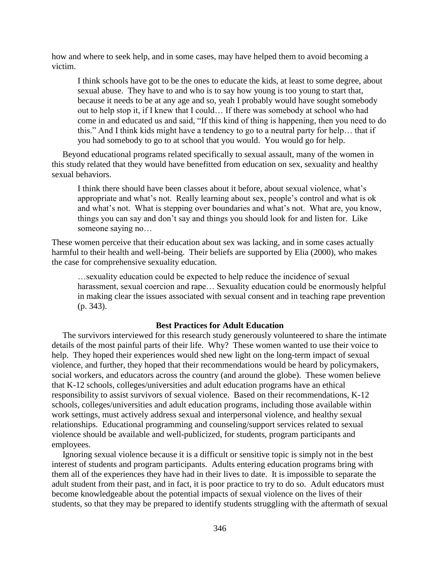how and where to seek help, and in some cases, may have helped them to avoid becoming a victim.

I think schools have got to be the ones to educate the kids, at least to some degree, about sexual abuse. They have to and who is to say how young is too young to start that, because it needs to be at any age and so, yeah I probably would have sought somebody out to help stop it, if I knew that I could… If there was somebody at school who had come in and educated us and said, "If this kind of thing is happening, then you need to do this." And I think kids might have a tendency to go to a neutral party for help… that if you had somebody to go to at school that you would. You would go for help.

 Beyond educational programs related specifically to sexual assault, many of the women in this study related that they would have benefitted from education on sex, sexuality and healthy sexual behaviors.

I think there should have been classes about it before, about sexual violence, what's appropriate and what's not. Really learning about sex, people's control and what is ok and what's not. What is stepping over boundaries and what's not. What are, you know, things you can say and don't say and things you should look for and listen for. Like someone saying no…

These women perceive that their education about sex was lacking, and in some cases actually harmful to their health and well-being. Their beliefs are supported by Elia (2000), who makes the case for comprehensive sexuality education.

…sexuality education could be expected to help reduce the incidence of sexual harassment, sexual coercion and rape… Sexuality education could be enormously helpful in making clear the issues associated with sexual consent and in teaching rape prevention (p. 343).

# **Best Practices for Adult Education**

 The survivors interviewed for this research study generously volunteered to share the intimate details of the most painful parts of their life. Why? These women wanted to use their voice to help. They hoped their experiences would shed new light on the long-term impact of sexual violence, and further, they hoped that their recommendations would be heard by policymakers, social workers, and educators across the country (and around the globe). These women believe that K-12 schools, colleges/universities and adult education programs have an ethical responsibility to assist survivors of sexual violence. Based on their recommendations, K-12 schools, colleges/universities and adult education programs, including those available within work settings, must actively address sexual and interpersonal violence, and healthy sexual relationships. Educational programming and counseling/support services related to sexual violence should be available and well-publicized, for students, program participants and employees.

 Ignoring sexual violence because it is a difficult or sensitive topic is simply not in the best interest of students and program participants. Adults entering education programs bring with them all of the experiences they have had in their lives to date. It is impossible to separate the adult student from their past, and in fact, it is poor practice to try to do so. Adult educators must become knowledgeable about the potential impacts of sexual violence on the lives of their students, so that they may be prepared to identify students struggling with the aftermath of sexual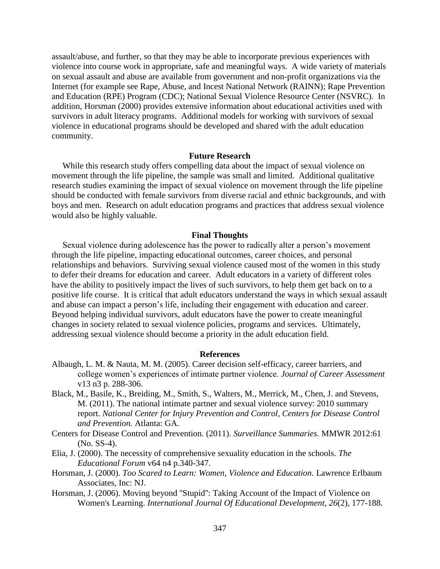assault/abuse, and further, so that they may be able to incorporate previous experiences with violence into course work in appropriate, safe and meaningful ways. A wide variety of materials on sexual assault and abuse are available from government and non-profit organizations via the Internet (for example see Rape, Abuse, and Incest National Network (RAINN); Rape Prevention and Education (RPE) Program (CDC); National Sexual Violence Resource Center (NSVRC). In addition, Horsman (2000) provides extensive information about educational activities used with survivors in adult literacy programs. Additional models for working with survivors of sexual violence in educational programs should be developed and shared with the adult education community.

#### **Future Research**

 While this research study offers compelling data about the impact of sexual violence on movement through the life pipeline, the sample was small and limited. Additional qualitative research studies examining the impact of sexual violence on movement through the life pipeline should be conducted with female survivors from diverse racial and ethnic backgrounds, and with boys and men. Research on adult education programs and practices that address sexual violence would also be highly valuable.

#### **Final Thoughts**

 Sexual violence during adolescence has the power to radically alter a person's movement through the life pipeline, impacting educational outcomes, career choices, and personal relationships and behaviors. Surviving sexual violence caused most of the women in this study to defer their dreams for education and career. Adult educators in a variety of different roles have the ability to positively impact the lives of such survivors, to help them get back on to a positive life course. It is critical that adult educators understand the ways in which sexual assault and abuse can impact a person's life, including their engagement with education and career. Beyond helping individual survivors, adult educators have the power to create meaningful changes in society related to sexual violence policies, programs and services. Ultimately, addressing sexual violence should become a priority in the adult education field.

# **References**

- Albaugh, L. M. & Nauta, M. M. (2005). Career decision self-efficacy, career barriers, and college women's experiences of intimate partner violence. *Journal of Career Assessment* v13 n3 p. 288-306.
- Black, M., Basile, K., Breiding, M., Smith, S., Walters, M., Merrick, M., Chen, J. and Stevens, M. (2011). The national intimate partner and sexual violence survey: 2010 summary report. *National Center for Injury Prevention and Control, Centers for Disease Control and Prevention.* Atlanta: GA.
- Centers for Disease Control and Prevention. (2011). *Surveillance Summaries*. MMWR 2012:61 (No. SS-4).
- Elia, J. (2000). The necessity of comprehensive sexuality education in the schools. *The Educational Forum* v64 n4 p.340-347.
- Horsman, J. (2000). *Too Scared to Learn: Women, Violence and Education.* Lawrence Erlbaum Associates, Inc: NJ.
- Horsman, J. (2006). Moving beyond ''Stupid'': Taking Account of the Impact of Violence on Women's Learning. *International Journal Of Educational Development*, *26*(2), 177-188.